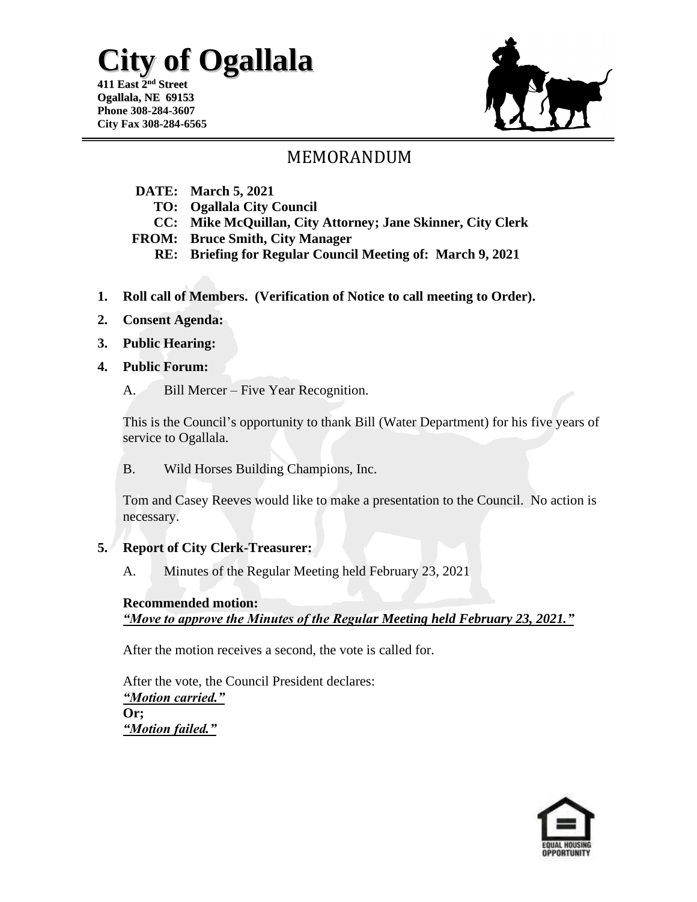#### **411 East 2 nd Street Ogallala, NE 69153 Phone 308-284-3607 City Fax 308-284-6565**

## MEMORANDUM

- **DATE: March 5, 2021**
	- **TO: Ogallala City Council**
	- **CC: Mike McQuillan, City Attorney; Jane Skinner, City Clerk**
- **FROM: Bruce Smith, City Manager**
	- **RE: Briefing for Regular Council Meeting of: March 9, 2021**
- **1. Roll call of Members. (Verification of Notice to call meeting to Order).**
- **2. Consent Agenda:**
- **3. Public Hearing:**
- **4. Public Forum:**
	- A. Bill Mercer Five Year Recognition.

This is the Council's opportunity to thank Bill (Water Department) for his five years of service to Ogallala.

B. Wild Horses Building Champions, Inc.

Tom and Casey Reeves would like to make a presentation to the Council. No action is necessary.

#### **5. Report of City Clerk-Treasurer:**

A. Minutes of the Regular Meeting held February 23, 2021

### **Recommended motion:**

*"Move to approve the Minutes of the Regular Meeting held February 23, 2021."*

After the motion receives a second, the vote is called for.

After the vote, the Council President declares: *"Motion carried."*  **Or;**  *"Motion failed."*

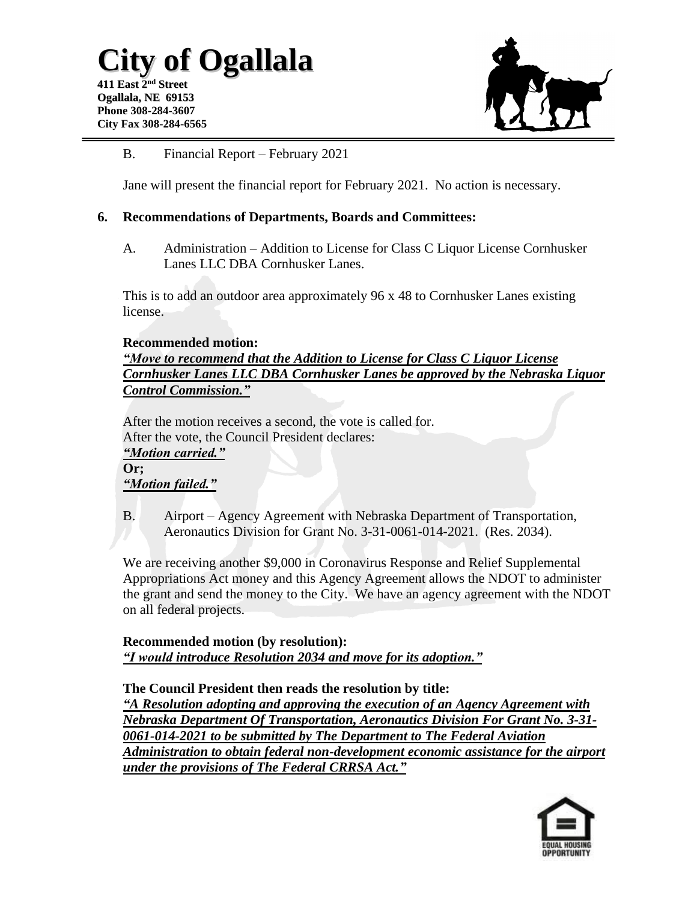

#### B. Financial Report – February 2021

Jane will present the financial report for February 2021. No action is necessary.

#### **6. Recommendations of Departments, Boards and Committees:**

A. Administration – Addition to License for Class C Liquor License Cornhusker Lanes LLC DBA Cornhusker Lanes.

This is to add an outdoor area approximately 96 x 48 to Cornhusker Lanes existing license.

#### **Recommended motion:**

*"Move to recommend that the Addition to License for Class C Liquor License Cornhusker Lanes LLC DBA Cornhusker Lanes be approved by the Nebraska Liquor Control Commission."*

After the motion receives a second, the vote is called for. After the vote, the Council President declares: *"Motion carried."*  **Or;** 

*"Motion failed."*

B. Airport – Agency Agreement with Nebraska Department of Transportation, Aeronautics Division for Grant No. 3-31-0061-014-2021. (Res. 2034).

We are receiving another \$9,000 in Coronavirus Response and Relief Supplemental Appropriations Act money and this Agency Agreement allows the NDOT to administer the grant and send the money to the City. We have an agency agreement with the NDOT on all federal projects.

**Recommended motion (by resolution):** *"I would introduce Resolution 2034 and move for its adoption."*

**The Council President then reads the resolution by title:** *"A Resolution adopting and approving the execution of an Agency Agreement with Nebraska Department Of Transportation, Aeronautics Division For Grant No. 3-31- 0061-014-2021 to be submitted by The Department to The Federal Aviation Administration to obtain federal non-development economic assistance for the airport under the provisions of The Federal CRRSA Act."*

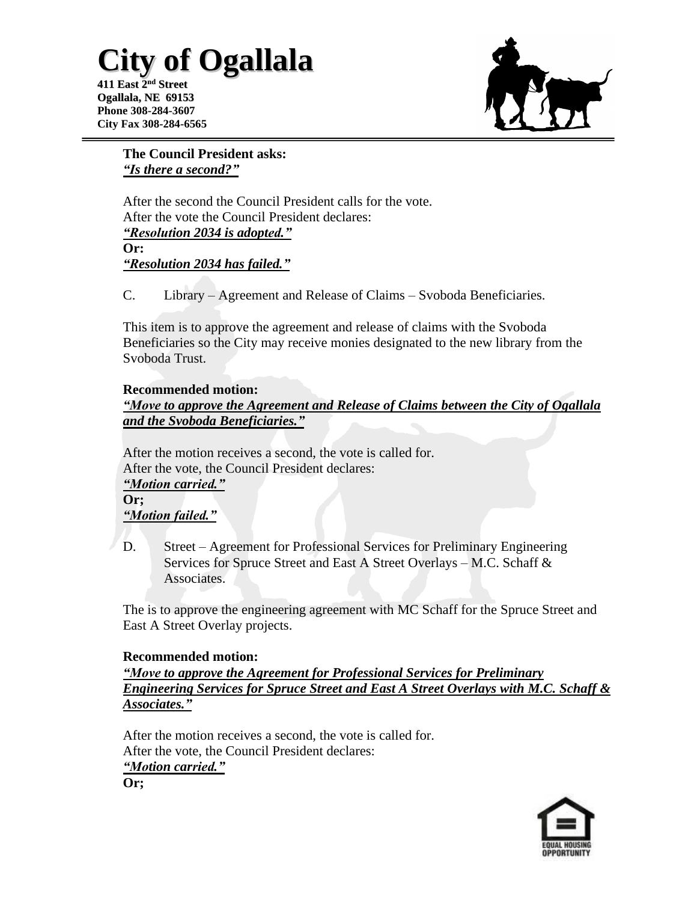**411 East 2 nd Street Ogallala, NE 69153 Phone 308-284-3607 City Fax 308-284-6565**



**The Council President asks:** *"Is there a second?"*

After the second the Council President calls for the vote. After the vote the Council President declares: *"Resolution 2034 is adopted."* **Or:** *"Resolution 2034 has failed."*

C. Library – Agreement and Release of Claims – Svoboda Beneficiaries.

This item is to approve the agreement and release of claims with the Svoboda Beneficiaries so the City may receive monies designated to the new library from the Svoboda Trust.

#### **Recommended motion:**

*"Move to approve the Agreement and Release of Claims between the City of Ogallala and the Svoboda Beneficiaries."*

After the motion receives a second, the vote is called for. After the vote, the Council President declares: *"Motion carried."*  **Or;**  *"Motion failed."*

D. Street – Agreement for Professional Services for Preliminary Engineering Services for Spruce Street and East A Street Overlays – M.C. Schaff & **Associates.** 

The is to approve the engineering agreement with MC Schaff for the Spruce Street and East A Street Overlay projects.

#### **Recommended motion:**

*"Move to approve the Agreement for Professional Services for Preliminary Engineering Services for Spruce Street and East A Street Overlays with M.C. Schaff & Associates."*

After the motion receives a second, the vote is called for. After the vote, the Council President declares: *"Motion carried."*  **Or;**